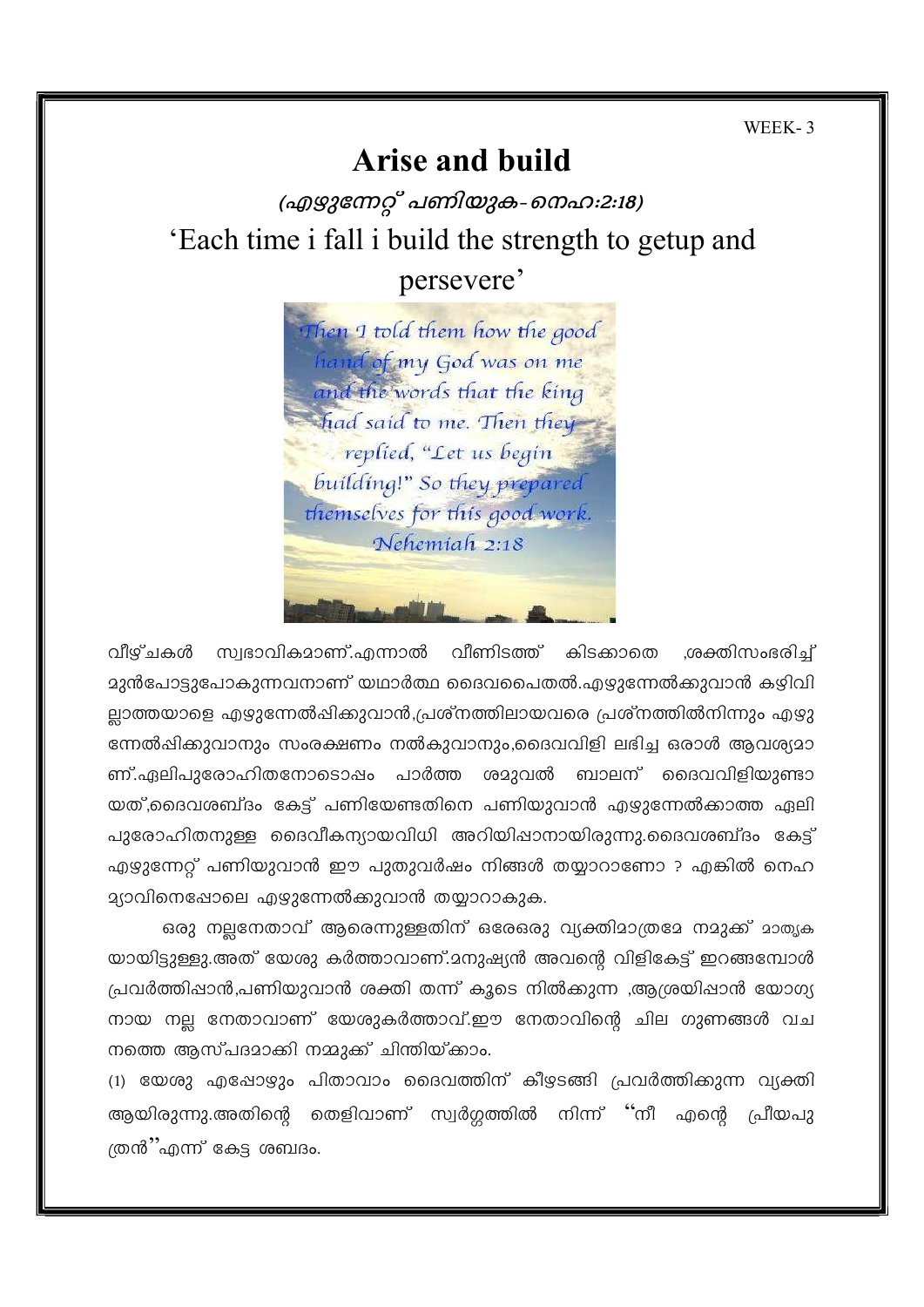WEEK-3

# **Arise and build**

(എഴുന്നേറ്റ് പണിയുക-നെഹ:2:18) 'Each time i fall i build the strength to getup and persevere'

Then I told them how the good hand of my God was on me and the words that the king had said to me. Then they replied, "Let us begin building!" So they prepared themselves for this good work. Nehemiah 2:18

വീഴ്ചകൾ സ്വഭാവികമാണ്.എന്നാൽ വീണിടത്ത് കിടക്കാതെ ,ശക്തിസംഭരിച്ച് മുൻപോട്ടുപോകുന്നവനാണ് യഥാർത്ഥ ദൈവപൈതൽ.എഴുന്നേൽക്കുവാൻ കഴിവി ല്ലാത്തയാളെ എഴുന്നേൽഷിക്കുവാൻ,പ്രശ്നത്തിലായവരെ പ്രശ്നത്തിൽനിന്നും എഴു ന്നേൽഷിക്കുവാനും സംരക്ഷണം നൽകുവാനും,ദൈവവിളി ലഭിച്ച ഒരാൾ ആവശ്യമാ ണ്.ഏലിപുരോഹിതനോടൊഷം പാർത്ത ശമുവൽ ബാലന് ദൈവവിളിയുണ്ടാ യത്,ദൈവശബ്ദം കേട്ട് പണിയേണ്ടതിനെ പണിയുവാൻ എഴുന്നേൽക്കാത്ത ഏലി പുരോഹിതനുള്ള ദൈവീകന്യായവിധി അറിയിഷാനായിരുന്നു.ദൈവശബ്ദം കേട്ട് എഴുന്നേറ്റ് പണിയുവാൻ ഈ പുതുവർഷം നിങ്ങൾ തയ്യാറാണോ ? എങ്കിൽ നെഹ ദ്യാവിനെഷോലെ എഴുന്നേൽക്കുവാൻ തയ്യാറാകുക.

ഒരു നലനേതാവ് ആരെന്നുള്ളതിന് ഒരേഒരു വ്യക്തിമാത്രമേ നമുക്ക് മാതൃക യായിട്ടുള്ളു.അത് യേശു കർത്താവാണ്.മനുഷ്യൻ അവന്റെ വിളികേട്ട് ഇറങ്ങമ്പോൾ പ്രവർത്തിഷാൻ,പണിയുവാൻ ശക്തി തന്ന് കൂടെ നിൽക്കുന്ന ,ആശ്രയിഷാൻ യോഗ്യ നായ നല്ല നേതാവാണ് യേശുകർത്താവ്.ഈ നേതാവിന്റെ ചില ഗുണങ്ങൾ വച നത്തെ ആസ്പദമാക്കി നമ്മുക്ക് ചിന്തിയ്ക്കാം.

(1) യേശു എപ്പോഴും പിതാവാം ദൈവത്തിന് കീഴടങ്ങി പ്രവർത്തിക്കുന്ന വ്യക്തി ആയിരുന്നു.അതിന്റെ തെളിവാണ് സ്വർഗ്ഗത്തിൽ നിന്ന് ''നീ എന്റെ പ്രീയപു ത്രൻ"എന്ന് കേട്ട ശബദം.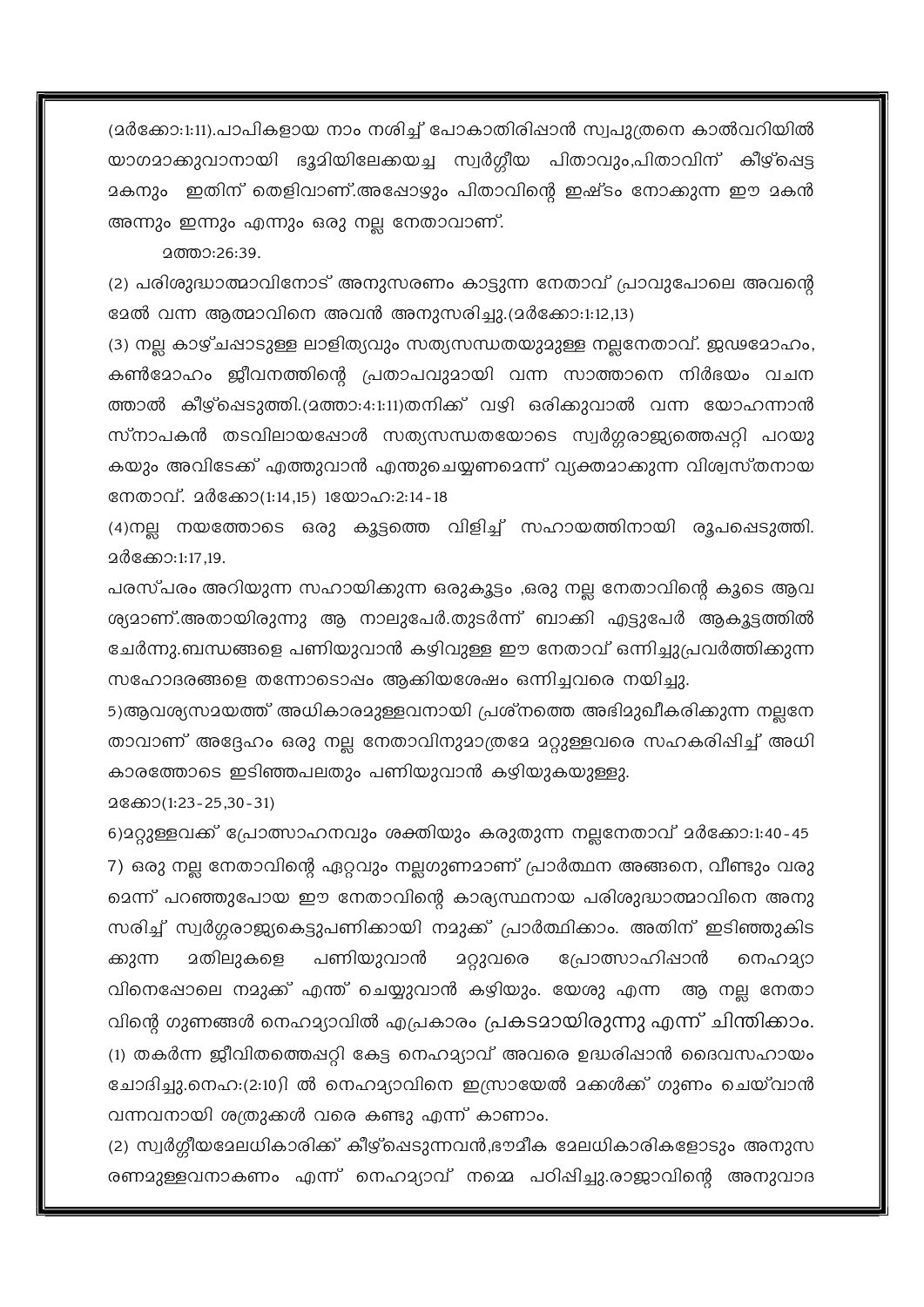(മർക്കോ:1:11).പാപികളായ നാം നശിച്ച് പോകാതിരിഷാൻ സ്വപുത്രനെ കാൽവറിയിൽ യാഗമാക്കുവാനായി ഭൂമിയിലേക്കയച്ച സ്വർഗ്ഗീയ പിതാവും,പിതാവിന് കീഴ്ഷെട്ട മകനും ഇതിന് തെളിവാണ്.അഷോഴും പിതാവിന്റെ ഇഷ്ടം നോക്കുന്ന ഈ മകൻ അന്നും ഇന്നും എന്നും ഒരു നല്ല നേതാവാണ്.

2ത്താ:26:39.

(2) പരിശുദ്ധാത്മാവിനോട് അനുസരണം കാട്ടുന്ന നേതാവ് പ്രാവുപോലെ അവന്റെ ളേൽ വന്ന ആത്മാവിനെ അവൻ അനുസരിച്ചു.(മർക്കോ:1:12,13)

(3) നല്ല കാഴ്ചപ്പാടുള്ള ലാളിത്യവും സത്യസന്ധതയുമുള്ള നല്ലനേതാവ്. ജഢമോഹം, കൺമോഹം ജീവനത്തിന്റെ പ്രതാപവുമായി വന്ന സാത്താനെ നിർഭയം വചന ത്താൽ കീഴ്ഷെടുത്തി.(മത്താ:4:1:11)തനിക്ക് വഴി ഒരിക്കുവാൽ വന്ന യോഹന്നാൻ സ്നാപകൻ തടവിലായപ്പോൾ സത്യസന്ധതയോടെ സ്വർഗ്ഗരാജ്യത്തെപ്പറ്റി പറയു കയും അവിടേക്ക് എത്തുവാൻ എന്തുചെയ്യണമെന്ന് വ്യക്തമാക്കുന്ന വിശ്വസ്തനായ നേതാവ്. മർക്കോ(1:14,15) 1യോഹ:2:14-18

(4)നല്ല നയത്തോടെ ഒരു കൂട്ടത്തെ വിളിച്ച് സഹായത്തിനായി രൂപപ്പെടുത്തി. 2ർക്കോ:1:17,19,

പരസ്പരം അറിയുന്ന സഹായിക്കുന്ന ഒരുകൂട്ടം ,ഒരു നല്ല നേതാവിന്റെ കൂടെ ആവ ശ്യമാണ്.അതായിരുന്നു ആ നാലുപേർ.തുടർന്ന് ബാക്കി എട്ടുപേർ ആകൂട്ടത്തിൽ ചേർന്നു.ബന്ധങ്ങളെ പണിയുവാൻ കഴിവുള്ള ഈ നേതാവ് ഒന്നിച്ചുപ്രവർത്തിക്കുന്ന സഹോദരങ്ങളെ തന്നോടൊഷം ആക്കിയശേഷം ഒന്നിച്ചവരെ നയിച്ചു.

5)ആവശ്യസമയത്ത് അധികാരമുള്ളവനായി പ്രശ്നത്തെ അഭിമുഖീകരിക്കുന്ന നല്ലനേ താവാണ് അദ്ദേഹം ഒരു നല്ല നേതാവിനുമാത്രമേ മറ്റുള്ളവരെ സഹകരിഷിച്ച് അധി കാരത്തോടെ ഇടിഞ്ഞപലതും പണിയുവാൻ കഴിയുകയുള്ളു.

28ക്കോ(1:23-25,30-31)

6)മറ്റുള്ളവക്ക് പ്രോത്സാഹനവും ശക്തിയും കരുതുന്ന നല്ലനേതാവ് മർക്കോ:1:40-45 7) ഒരു നല്ല നേതാവിന്റെ ഏറ്റവും നല്ലഗുണമാണ് പ്രാർത്ഥന അങ്ങനെ, വീണ്ടും വരു മെന്ന് പറഞ്ഞുപോയ ഈ നേതാവിന്റെ കാര്യസ്ഥനായ പരിശുദ്ധാത്മാവിനെ അനു സരിച്ച് സ്വർഗ്ഗരാജ്യകെട്ടുപണിക്കായി നമുക്ക് പ്രാർത്ഥിക്കാം. അതിന് ഇടിഞ്ഞുകിട പണിയുവാൻ പ്രോത്സാഹിഷാൻ <u> മതിലുകളെ</u> ക്കുന്ന മറ്റുവരെ നെഹമ്യാ വിനെഷോലെ നമുക്ക് എന്ത് ചെയ്യുവാൻ കഴിയും. യേശു എന്ന ആ നല്ല നേതാ വിന്റെ ഗുണങ്ങൾ നെഹമ്യാവിൽ എപ്രകാരം പ്രകടമായിരുന്നു എന്ന് ചിന്തിക്കാം. (1) തകർന്ന ജീവിതത്തെപ്പറ്റി കേട്ട നെഹമ്യാവ് അവരെ ഉദ്ധരിപ്പാൻ ദൈവസഹായം ചോദിച്ചു.നെഹ:(2:10)ി ൽ നെഹമ്യാവിനെ ഇസ്രായേൽ മക്കൾക്ക് ഗുണം ചെയ്വാൻ വന്നവനായി ശത്രുക്കൾ വരെ കണ്ടു എന്ന് കാണാം.

(2) സ്വർഗ്ഗീയമേലധികാരിക്ക് കീഴ്ച്ചെടുന്നവൻ,ഭൗമീക മേലധികാരികളോടും അനുസ രണമുള്ളവനാകണം എന്ന് നെഹമ്യാവ് നമ്മെ പഠിഷിച്ചു.രാജാവിന്റെ അനുവാദ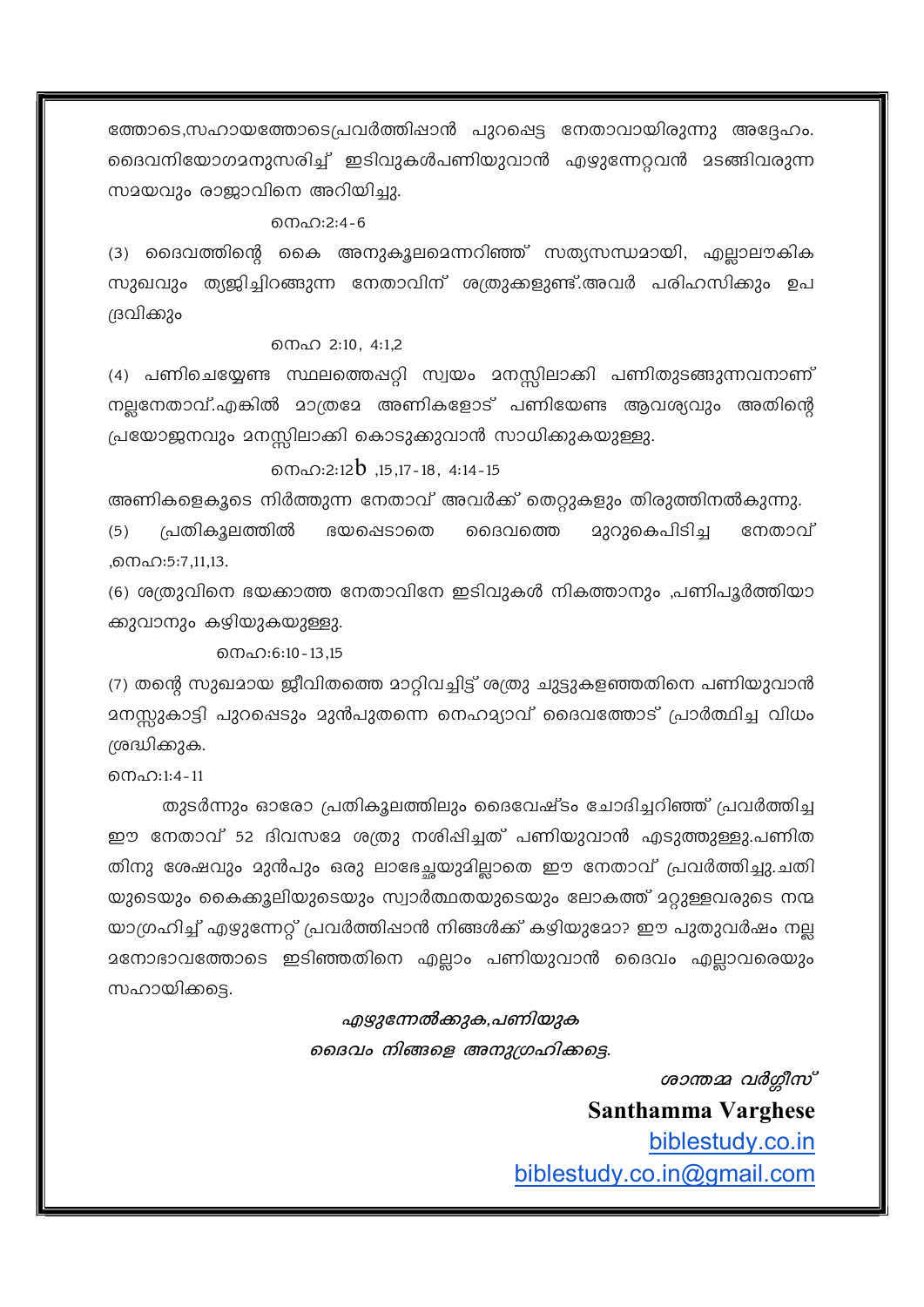ത്തോടെ,സഹായത്തോടെപ്രവർത്തിഷാൻ പുറപ്പെട്ട നേതാവായിരുന്നു അദ്ദേഹം. ദൈവനിയോഗമനുസരിച്ച് ഇടിവുകൾപണിയുവാൻ എഴുന്നേറ്റവൻ മടങ്ങിവരുന്ന സമയവും രാജാവിനെ അറിയിച്ചു.

#### നെഹ:2:4-6

(3) ദൈവത്തിന്റെ കൈ അനുകൂലമെന്നറിഞ്ഞ് സത്യസന്ധമായി, എല്ലാലൗകിക സുഖവും ത്യജിച്ചിറങ്ങുന്ന നേതാവിന് ശത്രുക്കളുണ്ട്.അവർ പരിഹസിക്കും ഉപ ദ്രവിക്കും

#### നെഹ 2:10, 4:1.2

(4) പണിചെയ്യേണ്ട സ്ഥലത്തെഷറ്റി സ്വയം മനസ്സിലാക്കി പണിതുടങ്ങുന്നവനാണ് നല്ലനേതാവ്.എങ്കിൽ മാത്രമേ അണികളോട് പണിയേണ്ട ആവശ്യവും അതിന്റെ പ്രയോജനവും മനസ്സിലാക്കി കൊടുക്കുവാൻ സാധിക്കുകയുള്ളു.

### $0.2:12b$ , 15, 17 - 18, 4: 14 - 15

അണികളെകൂടെ നിർത്തുന്ന നേതാവ് അവർക്ക് തെറ്റുകളും തിരുത്തിനൽകുന്നു.

പ്രതികൂലത്തിൽ മുറുകെപിടിച്ച നേതാവ്  $(5)$ ഭയപ്പെടാതെ ദൈവത്തെ ,നെഹ:5:7,11,13.

(6) ശത്രുവിനെ ഭയക്കാത്ത നേതാവിനേ ഇടിവുകൾ നികത്താനും ,പണിപൂർത്തിയാ ക്കുവാനും കഴിയുകയുള്ളു.

றைഹ:6:10 - 13.15

(7) തന്റെ സുഖമായ ജീവിതത്തെ മാറ്റിവച്ചിട്ട് ശത്രു ചുട്ടുകളഞ്ഞതിനെ പണിയുവാൻ മനസ്സുകാട്ടി പുറപ്പെടും മുൻപുതന്നെ നെഹമ്യാവ് ദൈവത്തോട് പ്രാർത്ഥിച്ച വിധം ശ്രദ്ധിക്കുക.

 $0.001:4-11$ 

തുടർന്നും ഓരോ പ്രതികൂലത്തിലും ദൈവേഷ്ടം ചോദിച്ചറിഞ്ഞ് പ്രവർത്തിച്ച ഈ നേതാവ് 52 ദിവസമേ ശത്രു നശിഷിച്ചത് പണിയുവാൻ എടുത്തുള്ളു.പണിത തിനു ശേഷവും മുൻപും ഒരു ലാഭേച്ചയുമില്ലാതെ ഈ നേതാവ് പ്രവർത്തിച്ചു.ചതി യുടെയും കൈക്കൂലിയുടെയും സ്വാർത്ഥതയുടെയും ലോകത്ത് മറ്റുള്ളവരുടെ നന്മ യാഗ്രഹിച്ച് എഴുന്നേറ്റ് പ്രവർത്തിഷാൻ നിങ്ങൾക്ക് കഴിയുമോ? ഈ പുതുവർഷം നല്ല മനോഭാവത്തോടെ ഇടിഞ്ഞതിനെ എല്ലാം പണിയുവാൻ ദൈവം എല്ലാവരെയും സഹായിക്കടെ.

## എഴുന്നേൽക്കുക,പണിയുക ദൈവം നിങ്ങളെ അനുഗ്രഹിക്കട്ടെ.

ശാന്തമ്മ വർഗ്ഗീസ് Santhamma Varghese biblestudy.co.in biblestudy.co.in@gmail.com